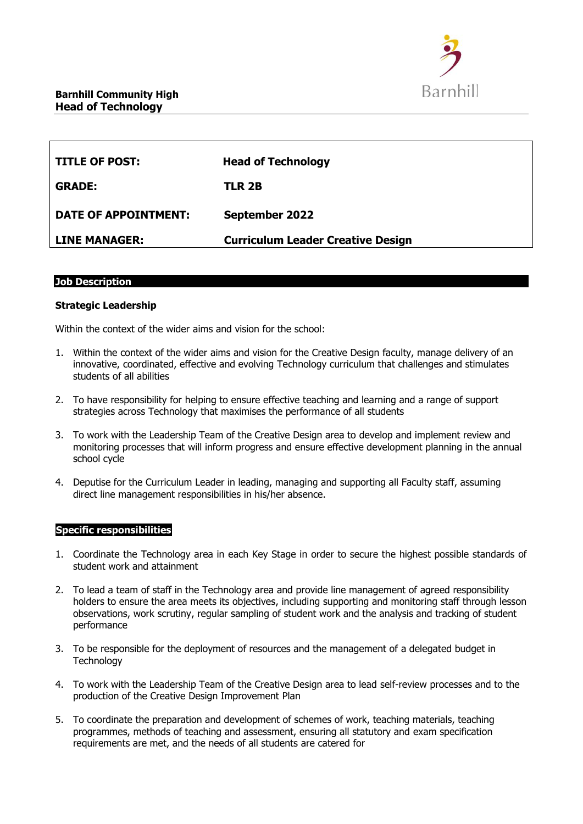

| <b>TITLE OF POST:</b> | <b>Head of Technology</b>                |
|-----------------------|------------------------------------------|
| <b>GRADE:</b>         | TLR 2B                                   |
| DATE OF APPOINTMENT:  | September 2022                           |
| <b>LINE MANAGER:</b>  | <b>Curriculum Leader Creative Design</b> |

## **Job Description**

#### **Strategic Leadership**

Within the context of the wider aims and vision for the school:

- 1. Within the context of the wider aims and vision for the Creative Design faculty, manage delivery of an innovative, coordinated, effective and evolving Technology curriculum that challenges and stimulates students of all abilities
- 2. To have responsibility for helping to ensure effective teaching and learning and a range of support strategies across Technology that maximises the performance of all students
- 3. To work with the Leadership Team of the Creative Design area to develop and implement review and monitoring processes that will inform progress and ensure effective development planning in the annual school cycle
- 4. Deputise for the Curriculum Leader in leading, managing and supporting all Faculty staff, assuming direct line management responsibilities in his/her absence.

#### **Specific responsibilities**

- 1. Coordinate the Technology area in each Key Stage in order to secure the highest possible standards of student work and attainment
- 2. To lead a team of staff in the Technology area and provide line management of agreed responsibility holders to ensure the area meets its objectives, including supporting and monitoring staff through lesson observations, work scrutiny, regular sampling of student work and the analysis and tracking of student performance
- 3. To be responsible for the deployment of resources and the management of a delegated budget in **Technology**
- 4. To work with the Leadership Team of the Creative Design area to lead self-review processes and to the production of the Creative Design Improvement Plan
- 5. To coordinate the preparation and development of schemes of work, teaching materials, teaching programmes, methods of teaching and assessment, ensuring all statutory and exam specification requirements are met, and the needs of all students are catered for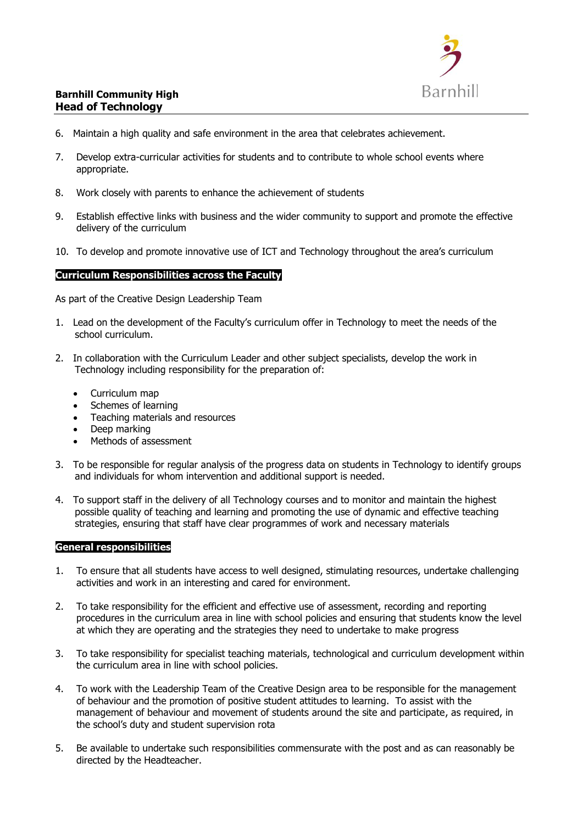

# **Barnhill Community High Head of Technology**

- 6. Maintain a high quality and safe environment in the area that celebrates achievement.
- 7. Develop extra-curricular activities for students and to contribute to whole school events where appropriate.
- 8. Work closely with parents to enhance the achievement of students
- 9. Establish effective links with business and the wider community to support and promote the effective delivery of the curriculum
- 10. To develop and promote innovative use of ICT and Technology throughout the area's curriculum

## **Curriculum Responsibilities across the Faculty**

As part of the Creative Design Leadership Team

- 1. Lead on the development of the Faculty's curriculum offer in Technology to meet the needs of the school curriculum.
- 2. In collaboration with the Curriculum Leader and other subject specialists, develop the work in Technology including responsibility for the preparation of:
	- Curriculum map
	- Schemes of learning
	- Teaching materials and resources
	- Deep marking
	- Methods of assessment
- 3. To be responsible for regular analysis of the progress data on students in Technology to identify groups and individuals for whom intervention and additional support is needed.
- 4. To support staff in the delivery of all Technology courses and to monitor and maintain the highest possible quality of teaching and learning and promoting the use of dynamic and effective teaching strategies, ensuring that staff have clear programmes of work and necessary materials

#### **General responsibilities**

- 1. To ensure that all students have access to well designed, stimulating resources, undertake challenging activities and work in an interesting and cared for environment.
- 2. To take responsibility for the efficient and effective use of assessment, recording and reporting procedures in the curriculum area in line with school policies and ensuring that students know the level at which they are operating and the strategies they need to undertake to make progress
- 3. To take responsibility for specialist teaching materials, technological and curriculum development within the curriculum area in line with school policies.
- 4. To work with the Leadership Team of the Creative Design area to be responsible for the management of behaviour and the promotion of positive student attitudes to learning. To assist with the management of behaviour and movement of students around the site and participate, as required, in the school's duty and student supervision rota
- 5. Be available to undertake such responsibilities commensurate with the post and as can reasonably be directed by the Headteacher.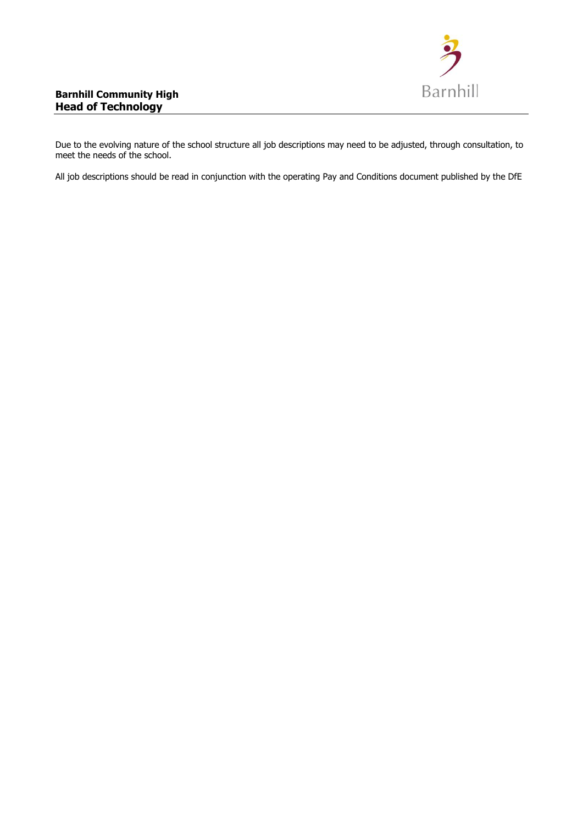

Due to the evolving nature of the school structure all job descriptions may need to be adjusted, through consultation, to meet the needs of the school.

All job descriptions should be read in conjunction with the operating Pay and Conditions document published by the DfE